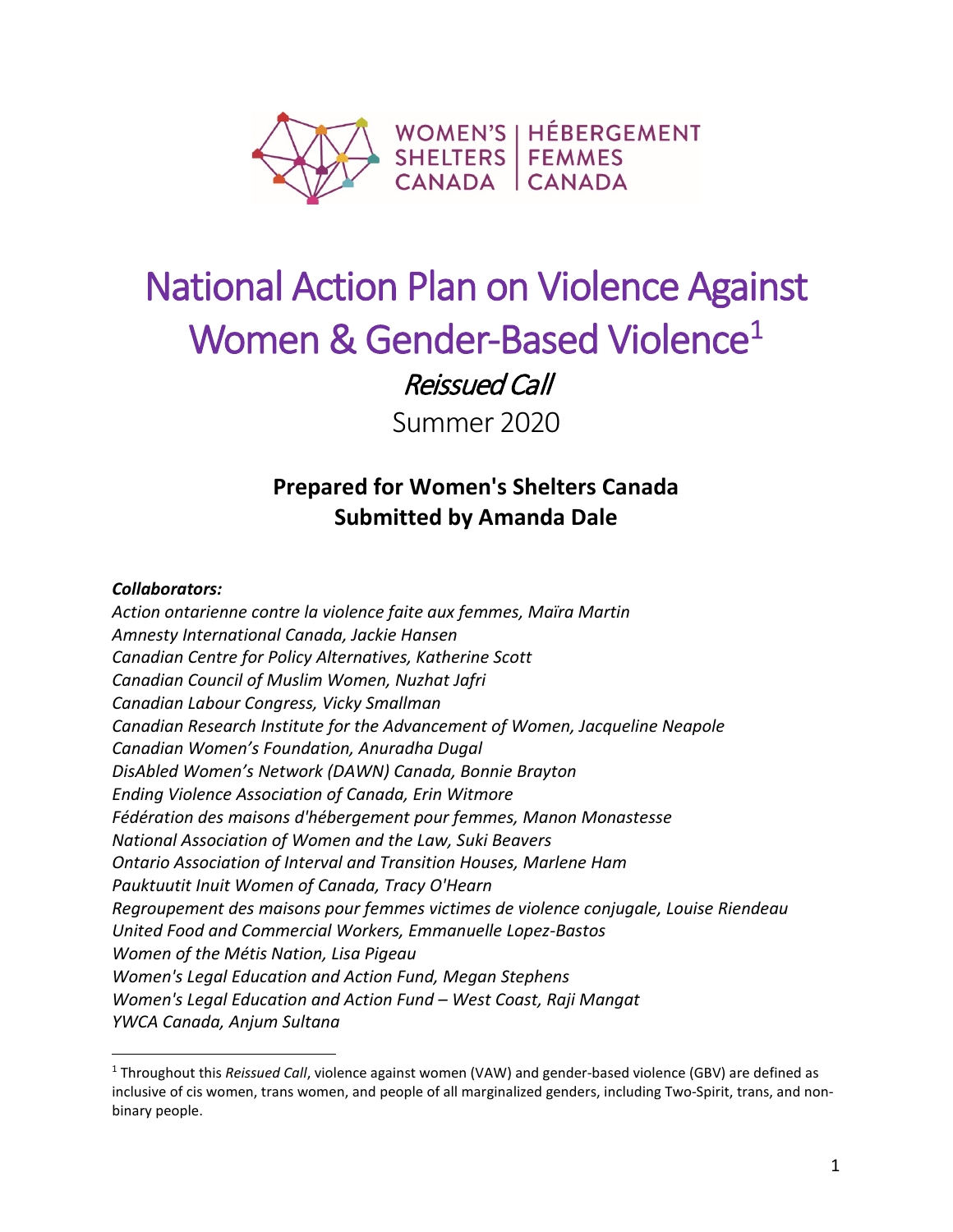

# National Action Plan on Violence Against Women & Gender-Based Violence<sup>1</sup>

Reissued Call

Summer 2020

# **Prepared for Women's Shelters Canada Submitted by Amanda Dale**

#### *Collaborators:*

 $\overline{a}$ 

*Action ontarienne contre la violence faite aux femmes, Maïra Martin Amnesty International Canada, Jackie Hansen Canadian Centre for Policy Alternatives, Katherine Scott Canadian Council of Muslim Women, Nuzhat Jafri Canadian Labour Congress, Vicky Smallman Canadian Research Institute for the Advancement of Women, Jacqueline Neapole Canadian Women's Foundation, Anuradha Dugal DisAbled Women's Network (DAWN) Canada, Bonnie Brayton Ending Violence Association of Canada, Erin Witmore Fédération des maisons d'hébergement pour femmes, Manon Monastesse National Association of Women and the Law, Suki Beavers Ontario Association of Interval and Transition Houses, Marlene Ham Pauktuutit Inuit Women of Canada, Tracy O'Hearn Regroupement des maisons pour femmes victimes de violence conjugale, Louise Riendeau United Food and Commercial Workers, Emmanuelle Lopez-Bastos Women of the Métis Nation, Lisa Pigeau Women's Legal Education and Action Fund, Megan Stephens Women's Legal Education and Action Fund – West Coast, Raji Mangat YWCA Canada, Anjum Sultana*

<span id="page-0-0"></span><sup>1</sup> Throughout this *Reissued Call*, violence against women (VAW) and gender-based violence (GBV) are defined as inclusive of cis women, trans women, and people of all marginalized genders, including Two-Spirit, trans, and nonbinary people.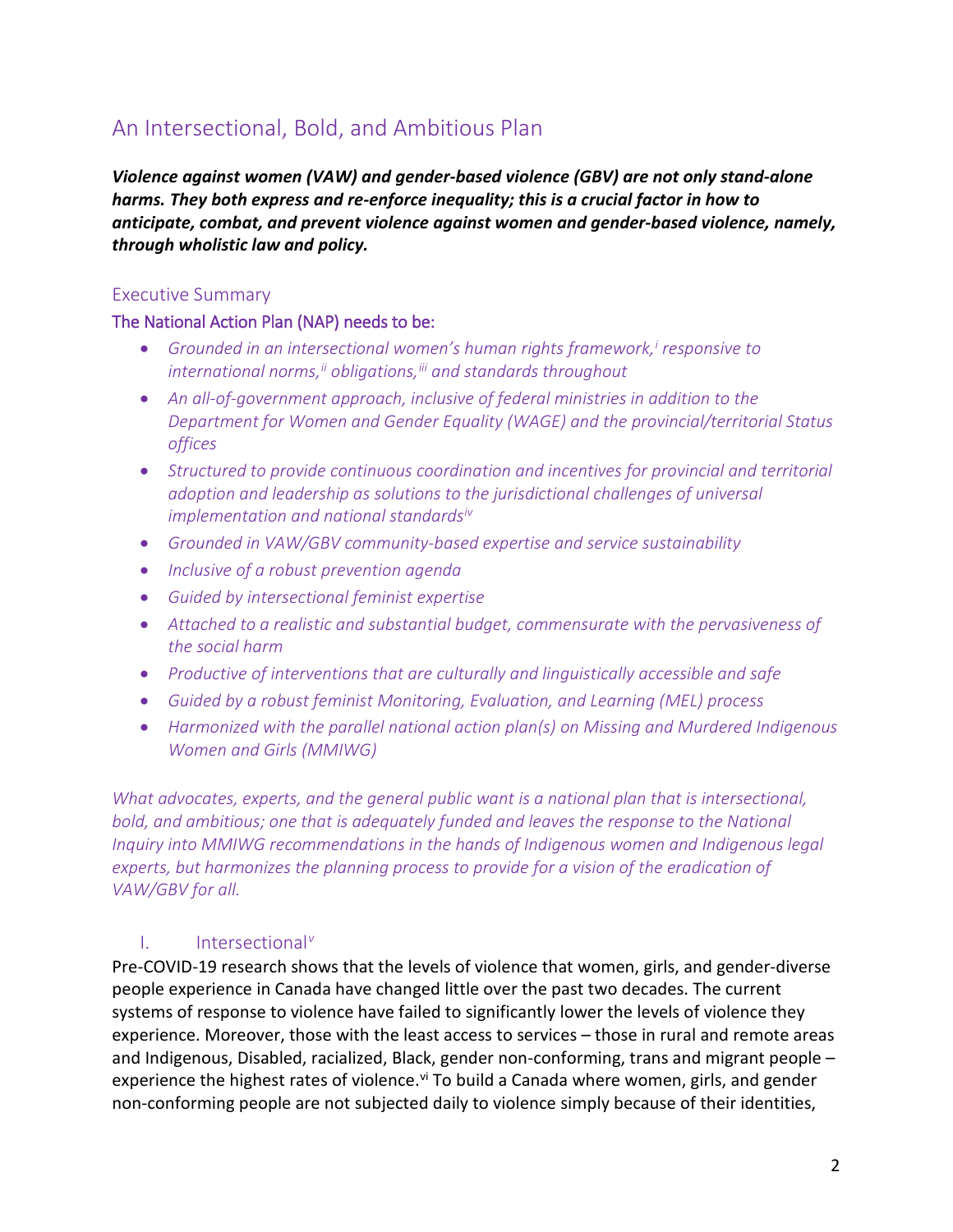# An Intersectional, Bold, and Ambitious Plan

*Violence against women (VAW) and gender-based violence (GBV) are not only stand-alone harms. They both express and re-enforce inequality; this is a crucial factor in how to anticipate, combat, and prevent violence against women and gender-based violence, namely, through wholistic law and policy.*

#### Executive Summary

#### The National Action Plan (NAP) needs to be:

- *Grounded in an intersectional women's human rights framework,[i](#page-10-0) responsive to international norms,[ii](#page-10-1) obligations,[iii](#page-10-2) and standards throughout*
- *An all-of-government approach, inclusive of federal ministries in addition to the Department for Women and Gender Equality (WAGE) and the provincial/territorial Status offices*
- *Structured to provide continuous coordination and incentives for provincial and territorial adoption and leadership as solutions to the jurisdictional challenges of universal implementation and national standards[iv](#page-10-3)*
- *Grounded in VAW/GBV community-based expertise and service sustainability*
- *Inclusive of a robust prevention agenda*
- *Guided by intersectional feminist expertise*
- *Attached to a realistic and substantial budget, commensurate with the pervasiveness of the social harm*
- *Productive of interventions that are culturally and linguistically accessible and safe*
- *Guided by a robust feminist Monitoring, Evaluation, and Learning (MEL) process*
- *Harmonized with the parallel national action plan(s) on Missing and Murdered Indigenous Women and Girls (MMIWG)*

*What advocates, experts, and the general public want is a national plan that is intersectional, bold, and ambitious; one that is adequately funded and leaves the response to the National Inquiry into MMIWG recommendations in the hands of Indigenous women and Indigenous legal experts, but harmonizes the planning process to provide for a vision of the eradication of VAW/GBV for all.*

#### I. Intersectional*[v](#page-10-4)*

Pre-COVID-19 research shows that the levels of violence that women, girls, and gender-diverse people experience in Canada have changed little over the past two decades. The current systems of response to violence have failed to significantly lower the levels of violence they experience. Moreover, those with the least access to services – those in rural and remote areas and Indigenous, Disabled, racialized, Black, gender non-conforming, trans and migrant people – experience the highest rates of [vi](#page-11-0)olence.<sup>vi</sup> To build a Canada where women, girls, and gender non-conforming people are not subjected daily to violence simply because of their identities,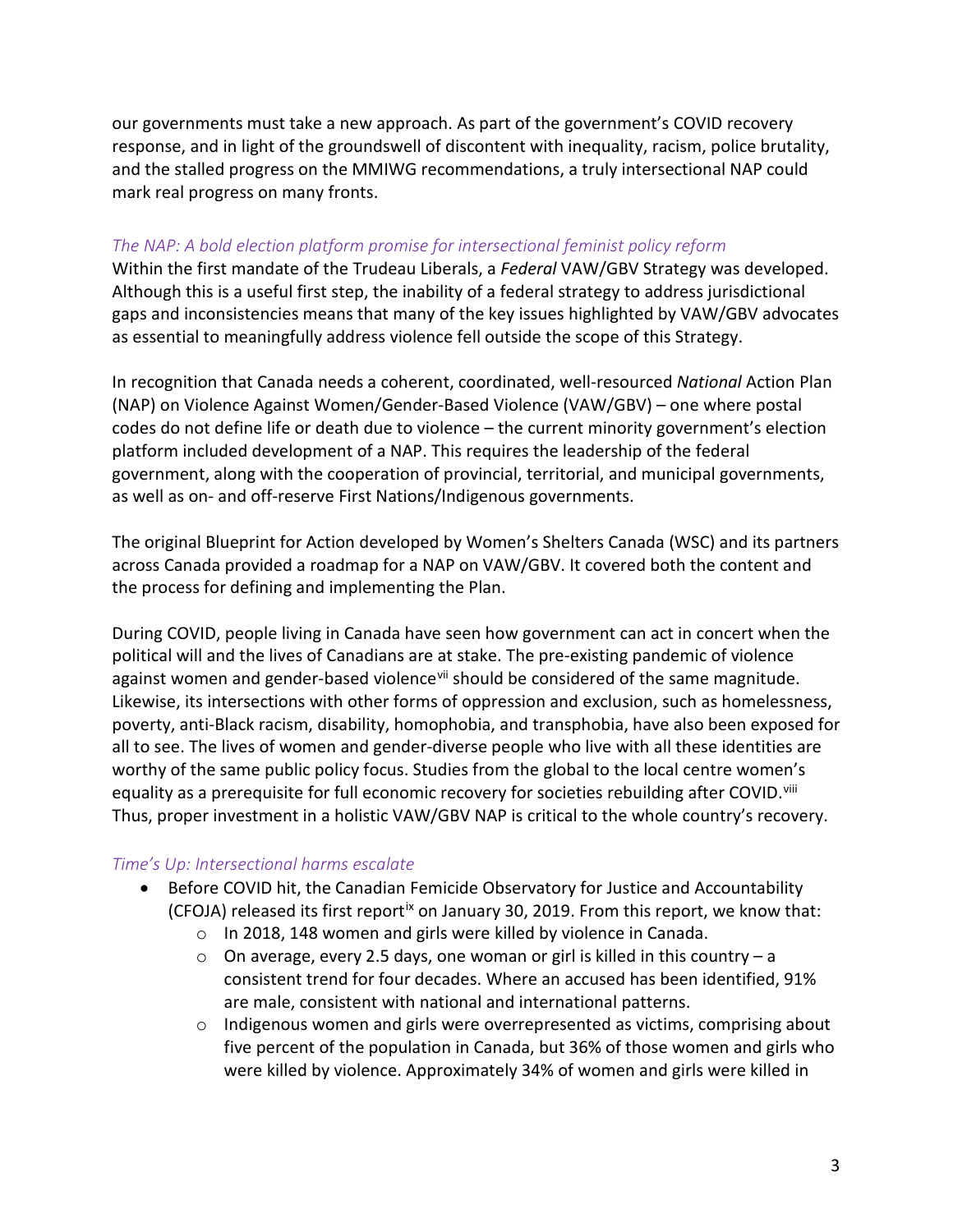our governments must take a new approach. As part of the government's COVID recovery response, and in light of the groundswell of discontent with inequality, racism, police brutality, and the stalled progress on the MMIWG recommendations, a truly intersectional NAP could mark real progress on many fronts.

#### *The NAP: A bold election platform promise for intersectional feminist policy reform*

Within the first mandate of the Trudeau Liberals, a *Federal* VAW/GBV Strategy was developed. Although this is a useful first step, the inability of a federal strategy to address jurisdictional gaps and inconsistencies means that many of the key issues highlighted by VAW/GBV advocates as essential to meaningfully address violence fell outside the scope of this Strategy.

In recognition that Canada needs a coherent, coordinated, well-resourced *National* Action Plan (NAP) on Violence Against Women/Gender-Based Violence (VAW/GBV) – one where postal codes do not define life or death due to violence – the current minority government's election platform included development of a NAP. This requires the leadership of the federal government, along with the cooperation of provincial, territorial, and municipal governments, as well as on- and off-reserve First Nations/Indigenous governments.

The original Blueprint for Action developed by Women's Shelters Canada (WSC) and its partners across Canada provided a roadmap for a NAP on VAW/GBV. It covered both the content and the process for defining and implementing the Plan.

During COVID, people living in Canada have seen how government can act in concert when the political will and the lives of Canadians are at stake. The pre-existing pandemic of violence against women and gender-based violence<sup>[vii](#page-11-1)</sup> should be considered of the same magnitude. Likewise, its intersections with other forms of oppression and exclusion, such as homelessness, poverty, anti-Black racism, disability, homophobia, and transphobia, have also been exposed for all to see. The lives of women and gender-diverse people who live with all these identities are worthy of the same public policy focus. Studies from the global to the local centre women's equality as a prerequisite for full economic recovery for societies rebuilding after COVID.<sup>[viii](#page-11-2)</sup> Thus, proper investment in a holistic VAW/GBV NAP is critical to the whole country's recovery.

#### *Time's Up: Intersectional harms escalate*

- Before COVID hit, the Canadian Femicide Observatory for Justice and Accountability (CFOJA) released its first report<sup>[ix](#page-11-3)</sup> on January 30, 2019. From this report, we know that:
	- o In 2018, 148 women and girls were killed by violence in Canada.
	- $\circ$  On average, every 2.5 days, one woman or girl is killed in this country a consistent trend for four decades. Where an accused has been identified, 91% are male, consistent with national and international patterns.
	- $\circ$  Indigenous women and girls were overrepresented as victims, comprising about five percent of the population in Canada, but 36% of those women and girls who were killed by violence. Approximately 34% of women and girls were killed in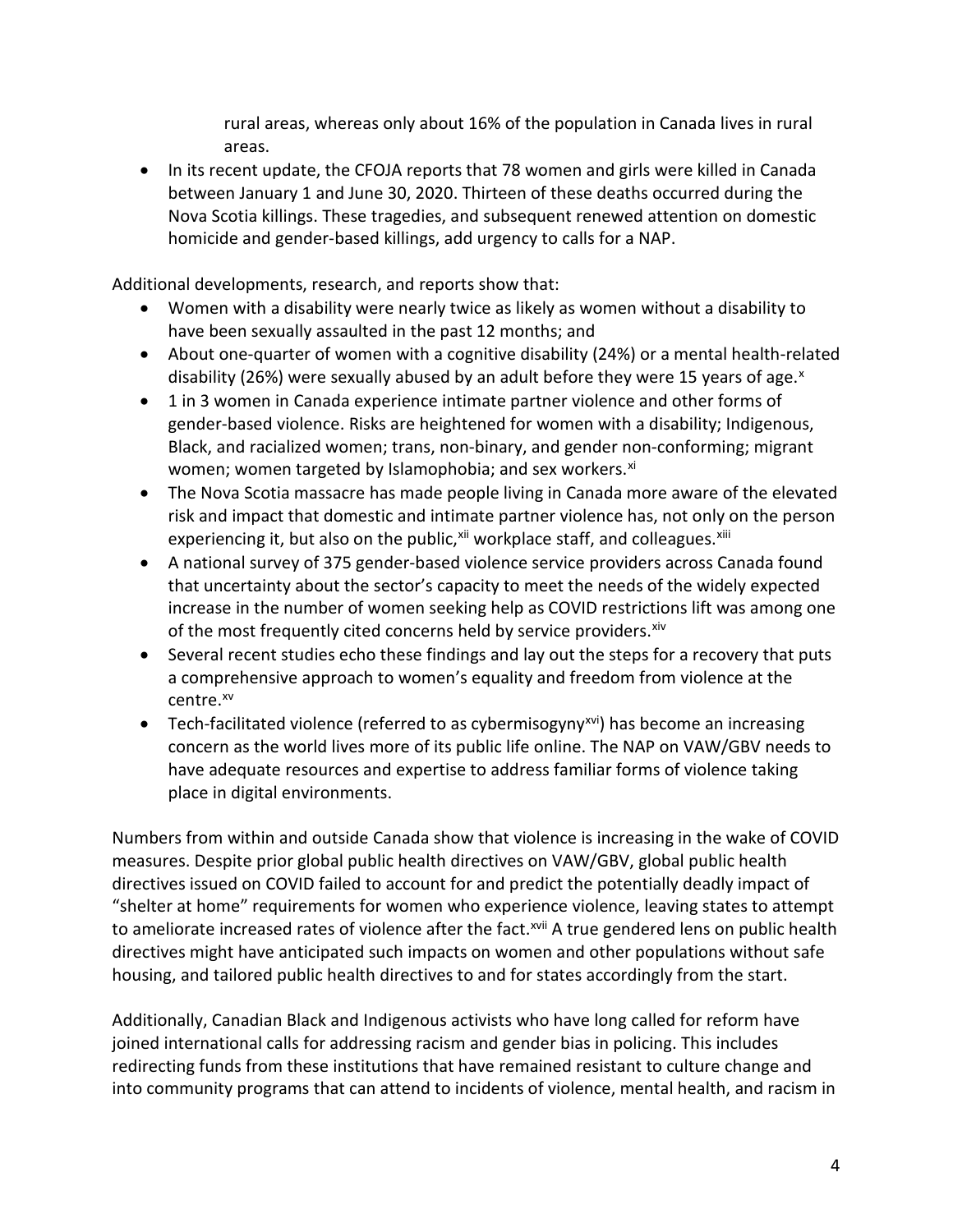rural areas, whereas only about 16% of the population in Canada lives in rural areas.

• In its recent update, the CFOJA reports that 78 women and girls were killed in Canada between January 1 and June 30, 2020. Thirteen of these deaths occurred during the Nova Scotia killings. These tragedies, and subsequent renewed attention on domestic homicide and gender-based killings, add urgency to calls for a NAP.

Additional developments, research, and reports show that:

- Women with a disability were nearly twice as likely as women without a disability to have been sexually assaulted in the past 12 months; and
- About one-quarter of women with a cognitive disability (24%) or a mental health-related disability (26%) were se[x](#page-11-4)ually abused by an adult before they were 15 years of age. $x$
- 1 in 3 women in Canada experience intimate partner violence and other forms of gender-based violence. Risks are heightened for women with a disability; Indigenous, Black, and racialized women; trans, non-binary, and gender non-conforming; migrant women; women targeted by Islamophobia; and sex workers.<sup>[xi](#page-11-5)</sup>
- The Nova Scotia massacre has made people living in Canada more aware of the elevated risk and impact that domestic and intimate partner violence has, not only on the person experiencing it, but also on the public,<sup>xii</sup> workplace staff, and colleagues.<sup>[xiii](#page-11-7)</sup>
- A national survey of 375 gender-based violence service providers across Canada found that uncertainty about the sector's capacity to meet the needs of the widely expected increase in the number of women seeking help as COVID restrictions lift was among one of the most frequently cited concerns held by service providers. Xiv
- Several recent studies echo these findings and lay out the steps for a recovery that puts a comprehensive approach to women's equality and freedom from violence at the centre.<sup>[xv](#page-11-9)</sup>
- Tech-facilitated violence (referred to as cybermisogyny<sup>[xvi](#page-11-10)</sup>) has become an increasing concern as the world lives more of its public life online. The NAP on VAW/GBV needs to have adequate resources and expertise to address familiar forms of violence taking place in digital environments.

Numbers from within and outside Canada show that violence is increasing in the wake of COVID measures. Despite prior global public health directives on VAW/GBV, global public health directives issued on COVID failed to account for and predict the potentially deadly impact of "shelter at home" requirements for women who experience violence, leaving states to attempt to ameliorate increased rates of violence after the fact.<sup>[xvii](#page-11-11)</sup> A true gendered lens on public health directives might have anticipated such impacts on women and other populations without safe housing, and tailored public health directives to and for states accordingly from the start.

Additionally, Canadian Black and Indigenous activists who have long called for reform have joined international calls for addressing racism and gender bias in policing. This includes redirecting funds from these institutions that have remained resistant to culture change and into community programs that can attend to incidents of violence, mental health, and racism in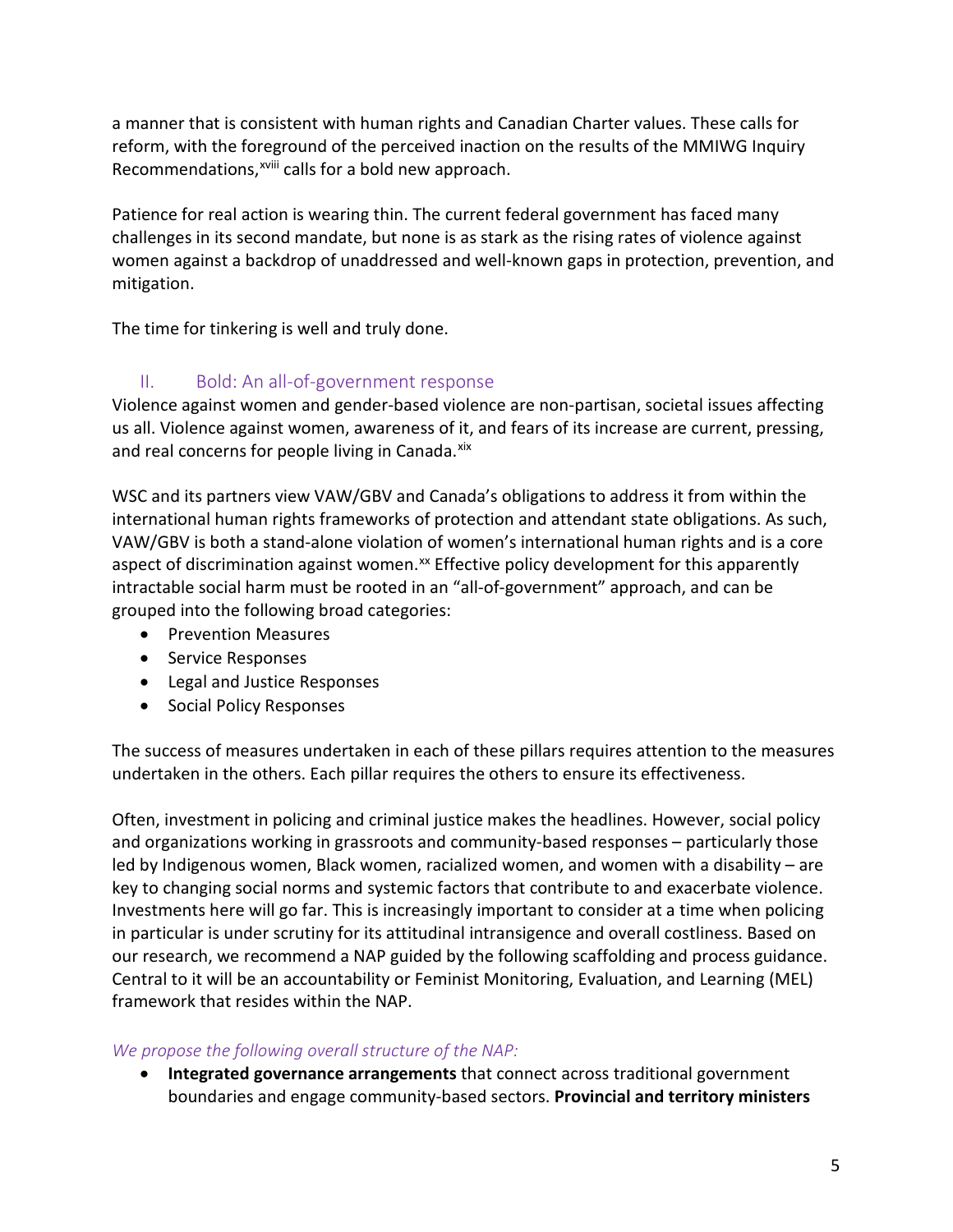a manner that is consistent with human rights and Canadian Charter values. These calls for reform, with the fore[gr](#page-11-12)ound of the perceived inaction on the results of the MMIWG Inquiry Recommendations,<sup>xviii</sup> calls for a bold new approach.

Patience for real action is wearing thin. The current federal government has faced many challenges in its second mandate, but none is as stark as the rising rates of violence against women against a backdrop of unaddressed and well-known gaps in protection, prevention, and mitigation.

The time for tinkering is well and truly done.

### II. Bold: An all-of-government response

Violence against women and gender-based violence are non-partisan, societal issues affecting us all. Violence against women, awareness of it, and fears of its increase are current, pressing, and real concerns for people living in Canada.<sup>[xix](#page-12-0)</sup>

WSC and its partners view VAW/GBV and Canada's obligations to address it from within the international human rights frameworks of protection and attendant state obligations. As such, VAW/GBV is both a stand-alone violation of women's international human rights and is a core aspect of discrimination against women.<sup>[xx](#page-12-1)</sup> Effective policy development for this apparently intractable social harm must be rooted in an "all-of-government" approach, and can be grouped into the following broad categories:

- Prevention Measures
- Service Responses
- Legal and Justice Responses
- Social Policy Responses

The success of measures undertaken in each of these pillars requires attention to the measures undertaken in the others. Each pillar requires the others to ensure its effectiveness.

Often, investment in policing and criminal justice makes the headlines. However, social policy and organizations working in grassroots and community-based responses – particularly those led by Indigenous women, Black women, racialized women, and women with a disability – are key to changing social norms and systemic factors that contribute to and exacerbate violence. Investments here will go far. This is increasingly important to consider at a time when policing in particular is under scrutiny for its attitudinal intransigence and overall costliness. Based on our research, we recommend a NAP guided by the following scaffolding and process guidance. Central to it will be an accountability or Feminist Monitoring, Evaluation, and Learning (MEL) framework that resides within the NAP.

#### *We propose the following overall structure of the NAP:*

• **Integrated governance arrangements** that connect across traditional government boundaries and engage community-based sectors. **Provincial and territory ministers**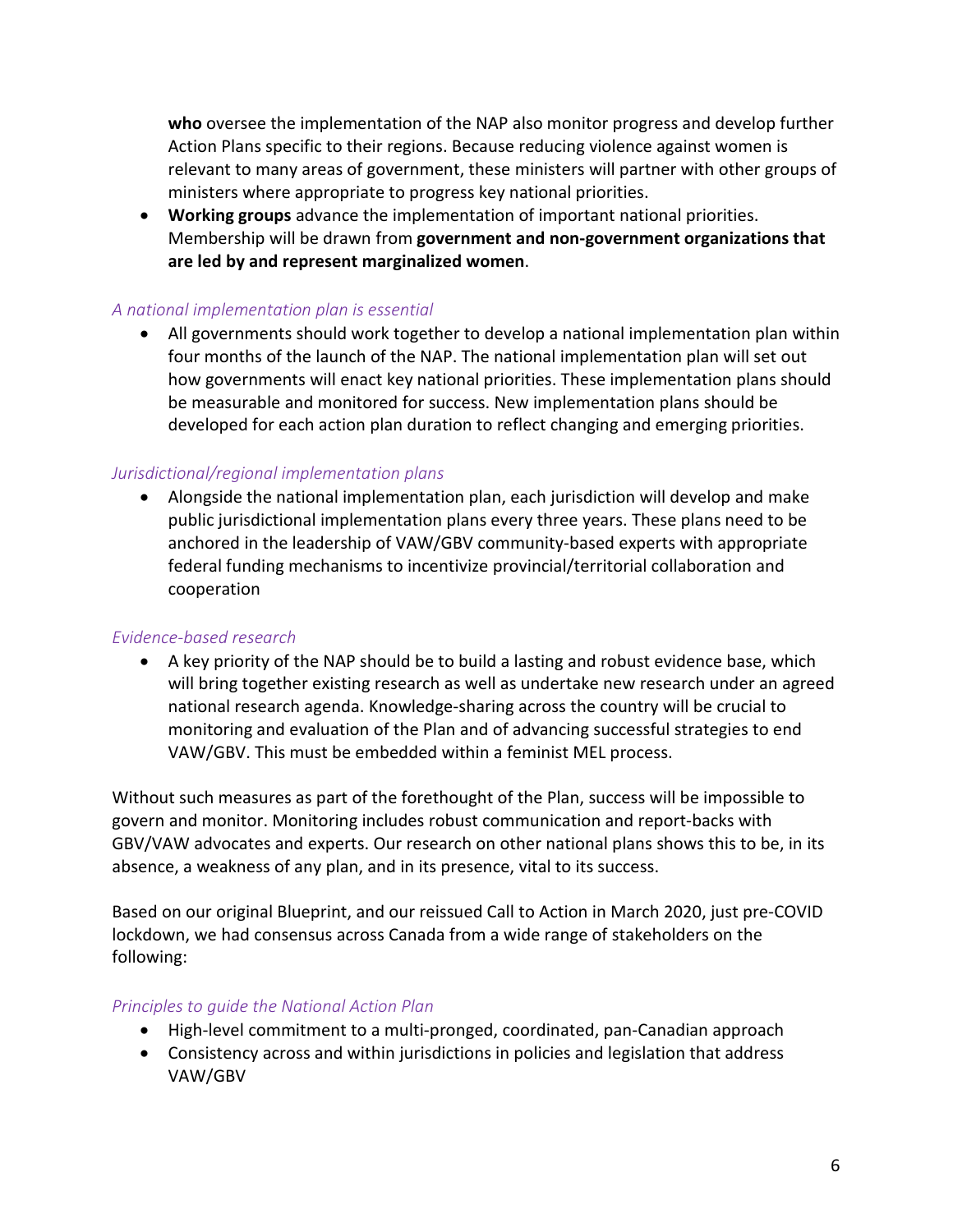**who** oversee the implementation of the NAP also monitor progress and develop further Action Plans specific to their regions. Because reducing violence against women is relevant to many areas of government, these ministers will partner with other groups of ministers where appropriate to progress key national priorities.

• **Working groups** advance the implementation of important national priorities. Membership will be drawn from **government and non-government organizations that are led by and represent marginalized women**.

#### *A national implementation plan is essential*

• All governments should work together to develop a national implementation plan within four months of the launch of the NAP. The national implementation plan will set out how governments will enact key national priorities. These implementation plans should be measurable and monitored for success. New implementation plans should be developed for each action plan duration to reflect changing and emerging priorities.

#### *Jurisdictional/regional implementation plans*

• Alongside the national implementation plan, each jurisdiction will develop and make public jurisdictional implementation plans every three years. These plans need to be anchored in the leadership of VAW/GBV community-based experts with appropriate federal funding mechanisms to incentivize provincial/territorial collaboration and cooperation

#### *Evidence-based research*

• A key priority of the NAP should be to build a lasting and robust evidence base, which will bring together existing research as well as undertake new research under an agreed national research agenda. Knowledge-sharing across the country will be crucial to monitoring and evaluation of the Plan and of advancing successful strategies to end VAW/GBV. This must be embedded within a feminist MEL process.

Without such measures as part of the forethought of the Plan, success will be impossible to govern and monitor. Monitoring includes robust communication and report-backs with GBV/VAW advocates and experts. Our research on other national plans shows this to be, in its absence, a weakness of any plan, and in its presence, vital to its success.

Based on our original Blueprint, and our reissued Call to Action in March 2020, just pre-COVID lockdown, we had consensus across Canada from a wide range of stakeholders on the following:

#### *Principles to guide the National Action Plan*

- High-level commitment to a multi-pronged, coordinated, pan-Canadian approach
- Consistency across and within jurisdictions in policies and legislation that address VAW/GBV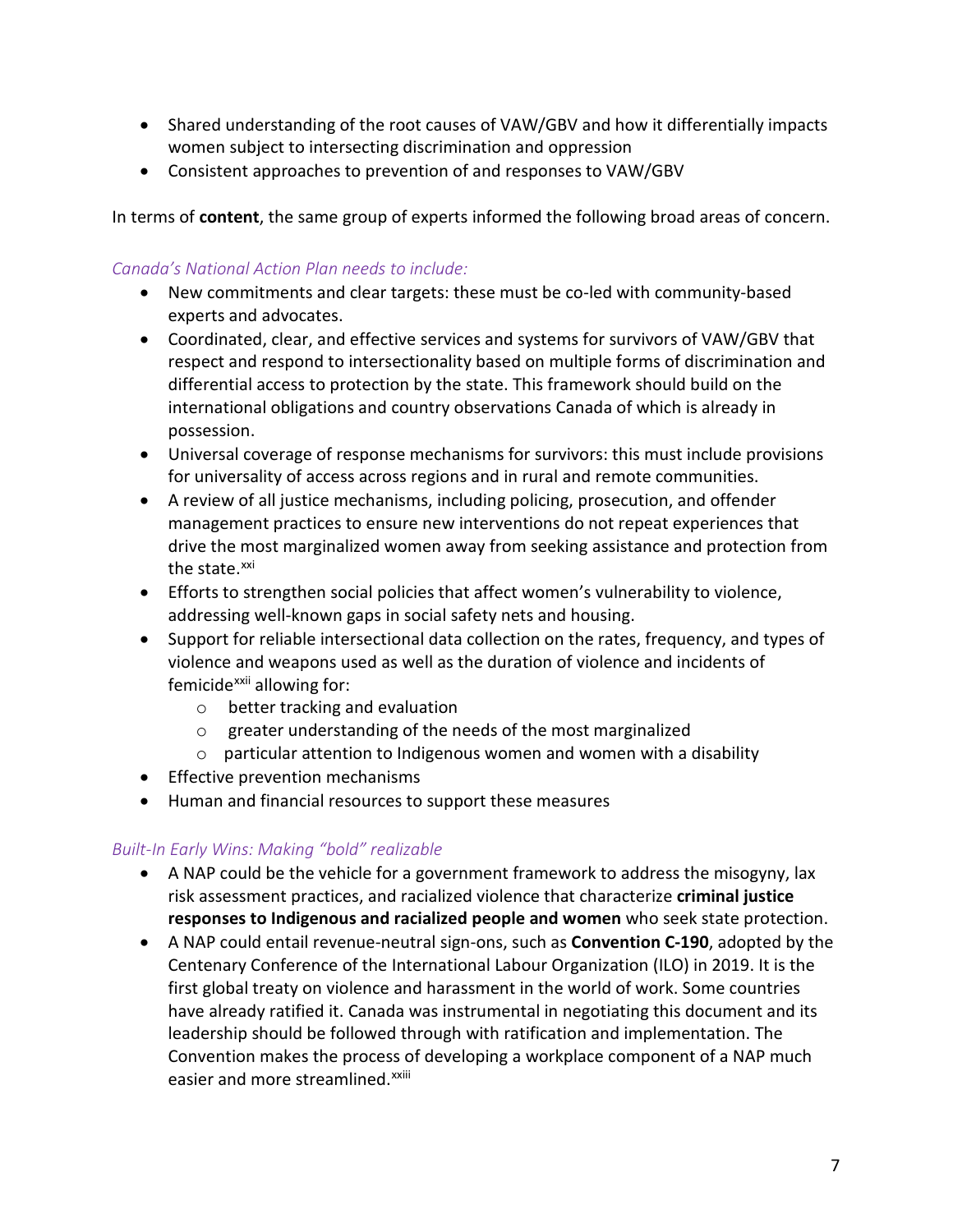- Shared understanding of the root causes of VAW/GBV and how it differentially impacts women subject to intersecting discrimination and oppression
- Consistent approaches to prevention of and responses to VAW/GBV

In terms of **content**, the same group of experts informed the following broad areas of concern.

#### *Canada's National Action Plan needs to include:*

- New commitments and clear targets: these must be co-led with community-based experts and advocates.
- Coordinated, clear, and effective services and systems for survivors of VAW/GBV that respect and respond to intersectionality based on multiple forms of discrimination and differential access to protection by the state. This framework should build on the international obligations and country observations Canada of which is already in possession.
- Universal coverage of response mechanisms for survivors: this must include provisions for universality of access across regions and in rural and remote communities.
- A review of all justice mechanisms, including policing, prosecution, and offender management practices to ensure new interventions do not repeat experiences that drive the most marginalized women away from seeking assistance and protection from the state.<sup>[xxi](#page-12-2)</sup>
- Efforts to strengthen social policies that affect women's vulnerability to violence, addressing well-known gaps in social safety nets and housing.
- Support for reliable intersectional data collection on the rates, frequency, and types of violence and weapons used as well as the duration of violence and incidents of femicide<sup>[xxii](#page-12-3)</sup> allowing for:
	- o better tracking and evaluation
	- o greater understanding of the needs of the most marginalized
	- $\circ$  particular attention to Indigenous women and women with a disability
- Effective prevention mechanisms
- Human and financial resources to support these measures

#### *Built-In Early Wins: Making "bold" realizable*

- A NAP could be the vehicle for a government framework to address the misogyny, lax risk assessment practices, and racialized violence that characterize **criminal justice responses to Indigenous and racialized people and women** who seek state protection.
- A NAP could entail revenue-neutral sign-ons, such as **Convention C-190**, adopted by the Centenary Conference of the International Labour Organization (ILO) in 2019. It is the first global treaty on violence and harassment in the world of work. Some countries have already ratified it. Canada was instrumental in negotiating this document and its leadership should be followed through with ratification and implementation. The Convention makes the process [of](#page-12-4) developing a workplace component of a NAP much easier and more streamlined.<sup>xxiii</sup>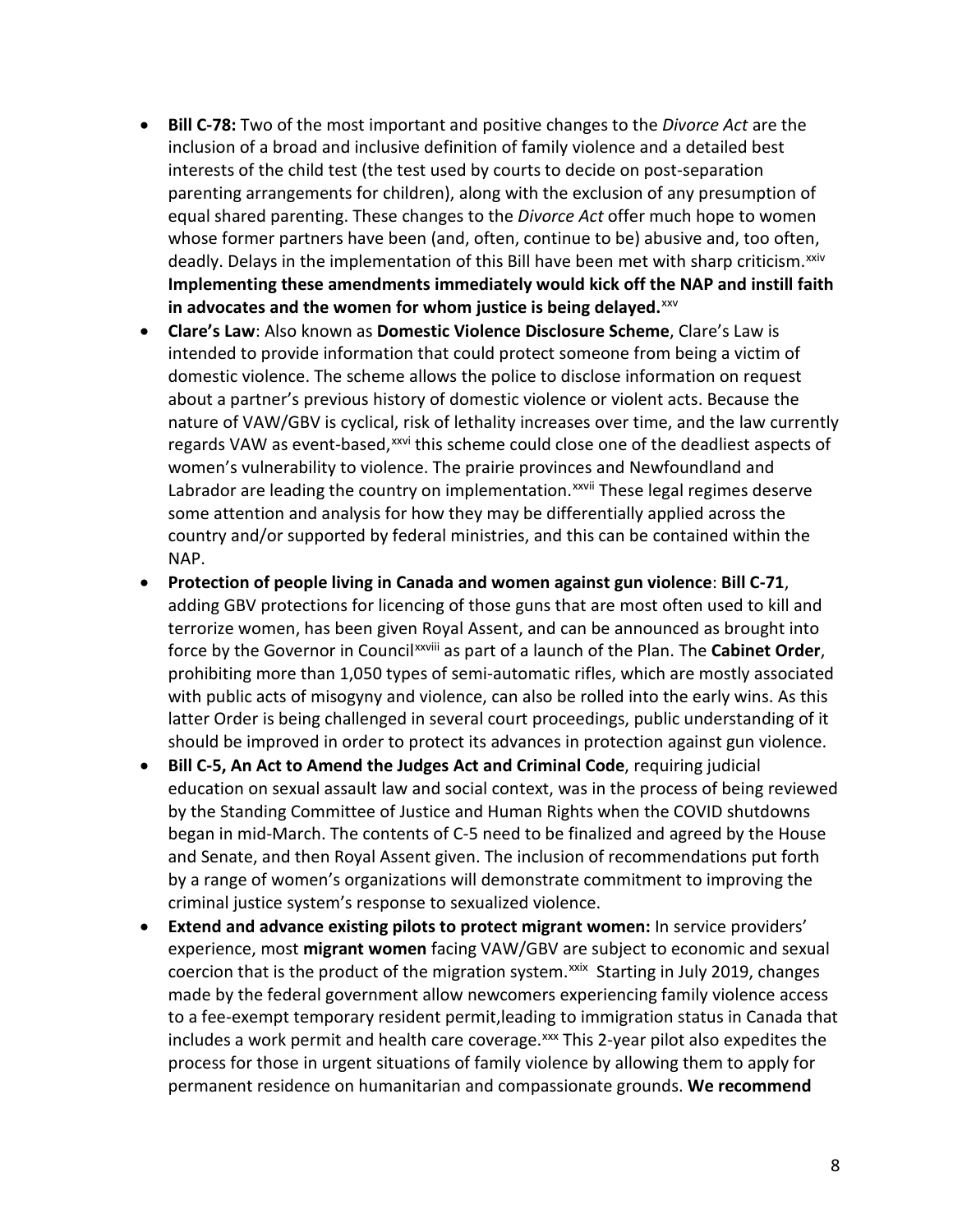- **Bill C-78:** Two of the most important and positive changes to the *Divorce Act* are the inclusion of a broad and inclusive definition of family violence and a detailed best interests of the child test (the test used by courts to decide on post-separation parenting arrangements for children), along with the exclusion of any presumption of equal shared parenting. These changes to the *Divorce Act* offer much hope to women whose former partners have been (and, often, continue to be) abusive and, too often, deadly. Delays in the implementation of this Bill have been met with sharp criticism.<sup>[xxiv](#page-12-5)</sup> **Implementing these amendments immediately would kick off the NAP and instill faith**  in advocates and the women for whom justice is being delayed.<sup>[xxv](#page-12-6)</sup>
- **Clare's Law**: Also known as **Domestic Violence Disclosure Scheme**, Clare's Law is intended to provide information that could protect someone from being a victim of domestic violence. The scheme allows the police to disclose information on request about a partner's previous history of domestic violence or violent acts. Because the nature of VAW/GBV is cyclical, risk of lethality increases over time, and the law currently regards VAW as event-based,<sup>[xxvi](#page-12-7)</sup> this scheme could close one of the deadliest aspects of Labrador are lead[i](#page-12-8)ng the country on implementation. XXVII These legal regimes deserve women's vulnerability to violence. The prairie provinces and Newfoundland and some attention and analysis for how they may be differentially applied across the country and/or supported by federal ministries, and this can be contained within the NAP.
- **Protection of people living in Canada and women against gun violence**: **Bill C-71**, adding GBV protections for licencing of those guns that are most often used to kill and terrorize women, has been given R[oy](#page-12-9)al Assent, and can be announced as brought into force by the Governor in Council<sup>xxviii</sup> as part of a launch of the Plan. The Cabinet Order, prohibiting more than 1,050 types of semi-automatic rifles, which are mostly associated with public acts of misogyny and violence, can also be rolled into the early wins. As this latter Order is being challenged in several court proceedings, public understanding of it should be improved in order to protect its advances in protection against gun violence.
- **Bill C-5, An Act to Amend the Judges Act and Criminal Code**, requiring judicial education on sexual assault law and social context, was in the process of being reviewed by the Standing Committee of Justice and Human Rights when the COVID shutdowns began in mid-March. The contents of C-5 need to be finalized and agreed by the House and Senate, and then Royal Assent given. The inclusion of recommendations put forth by a range of women's organizations will demonstrate commitment to improving the criminal justice system's response to sexualized violence.
- **Extend and advance existing pilots to protect migrant women:** In service providers' experience, most **migrant women** facing VAW/GBV are subject to economic and sexual coercion that is the product of the migration system. $x$ <sup>xxix</sup> Starting in July 2019, changes made by the federal government allow newcomers experiencing family violence access to a fee-exempt temporary resident permit,leading to immigration status in Canada that includes a work permit and health care coverage.<sup>[xxx](#page-12-11)</sup> This 2-year pilot also expedites the process for those in urgent situations of family violence by allowing them to apply for permanent residence on humanitarian and compassionate grounds. **We recommend**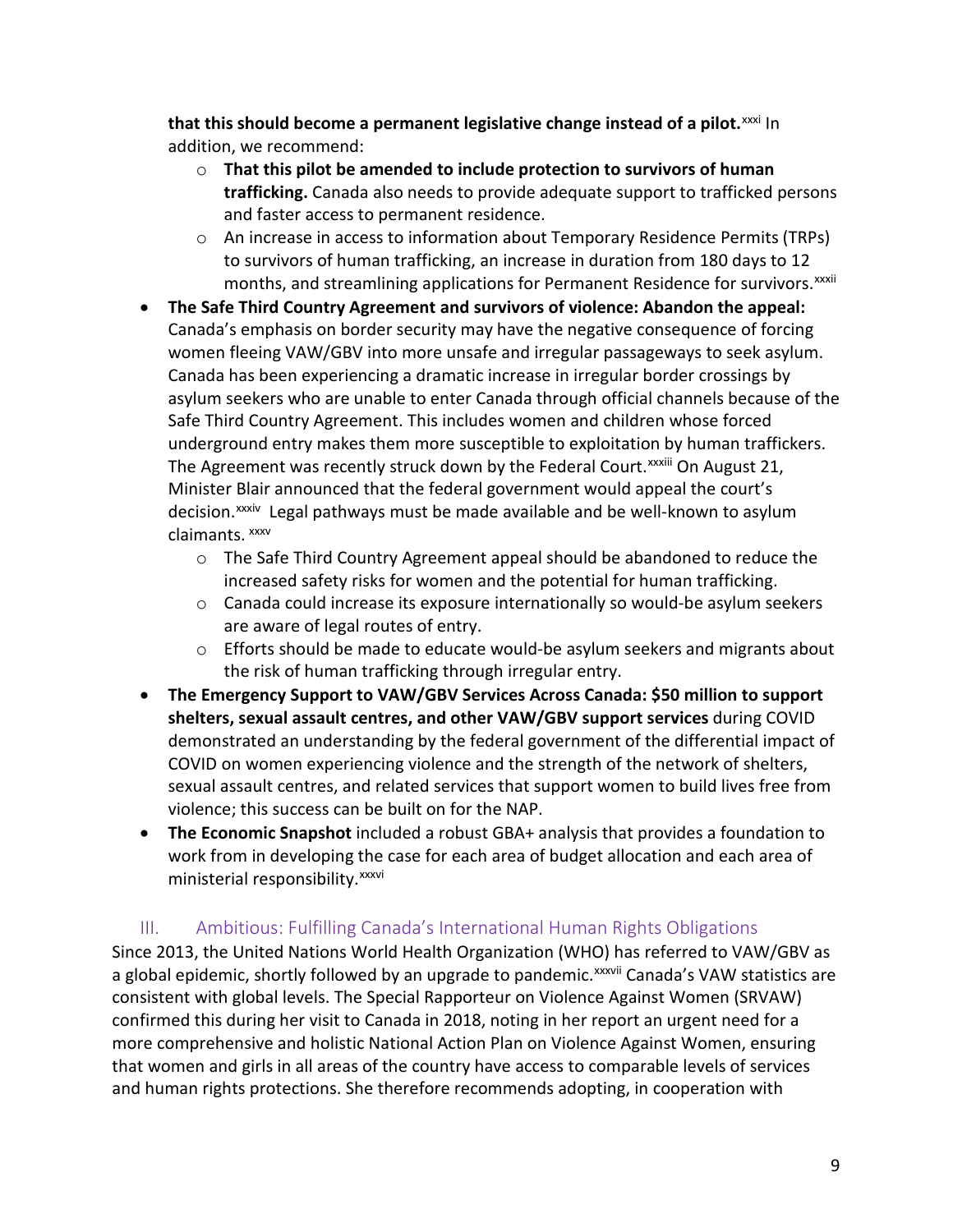**that this should become a permanent legislative change instead of a pilot.**<sup>[xxxi](#page-12-12)</sup> In addition, we recommend:

- o **That this pilot be amended to include protection to survivors of human trafficking.** Canada also needs to provide adequate support to trafficked persons and faster access to permanent residence.
- o An increase in access to information about Temporary Residence Permits (TRPs) to survivors of human trafficking, an increase in duration from 180 days to 12 months, and streaml[i](#page-12-13)ning applications for Permanent Residence for survivors.<sup>xxxii</sup>
- **The Safe Third Country Agreement and survivors of violence: Abandon the appeal:**  Canada's emphasis on border security may have the negative consequence of forcing women fleeing VAW/GBV into more unsafe and irregular passageways to seek asylum. Canada has been experiencing a dramatic increase in irregular border crossings by asylum seekers who are unable to enter Canada through official channels because of the Safe Third Country Agreement. This includes women and children whose forced underground entry makes them more susceptible to exploitation by human traffickers. The Agreement was recently struck down by the Federal Court.<sup>xxx[i](#page-12-14)ii</sup> On August 21, decision.<sup>xxxiv</sup> Legal pathways must be made available and be well-known to asylum Minister Bla[ir](#page-12-15) announced that the federal government would appeal the court's claimants. [xxxv](#page-12-16)
	- $\circ$  The Safe Third Country Agreement appeal should be abandoned to reduce the increased safety risks for women and the potential for human trafficking.
	- o Canada could increase its exposure internationally so would-be asylum seekers are aware of legal routes of entry.
	- o Efforts should be made to educate would-be asylum seekers and migrants about the risk of human trafficking through irregular entry.
- **The Emergency Support to VAW/GBV Services Across Canada: \$50 million to support shelters, sexual assault centres, and other VAW/GBV support services** during COVID demonstrated an understanding by the federal government of the differential impact of COVID on women experiencing violence and the strength of the network of shelters, sexual assault centres, and related services that support women to build lives free from violence; this success can be built on for the NAP.
- **The Economic Snapshot** included a robust GBA+ analysis that provides a foundation to work from in developing the [c](#page-12-17)ase for each area of budget allocation and each area of ministerial responsibility.<sup>xxxvi</sup>

## III. Ambitious: Fulfilling Canada's International Human Rights Obligations

Since 2013, the United Nations World Health Organization (WHO) [ha](#page-12-18)s referred to VAW/GBV as a global epidemic, shortly followed by an upgrade to pandemic. XXXVII Canada's VAW statistics are consistent with global levels. The Special Rapporteur on Violence Against Women (SRVAW) confirmed this during her visit to Canada in 2018, noting in her report an urgent need for a more comprehensive and holistic National Action Plan on Violence Against Women, ensuring that women and girls in all areas of the country have access to comparable levels of services and human rights protections. She therefore recommends adopting, in cooperation with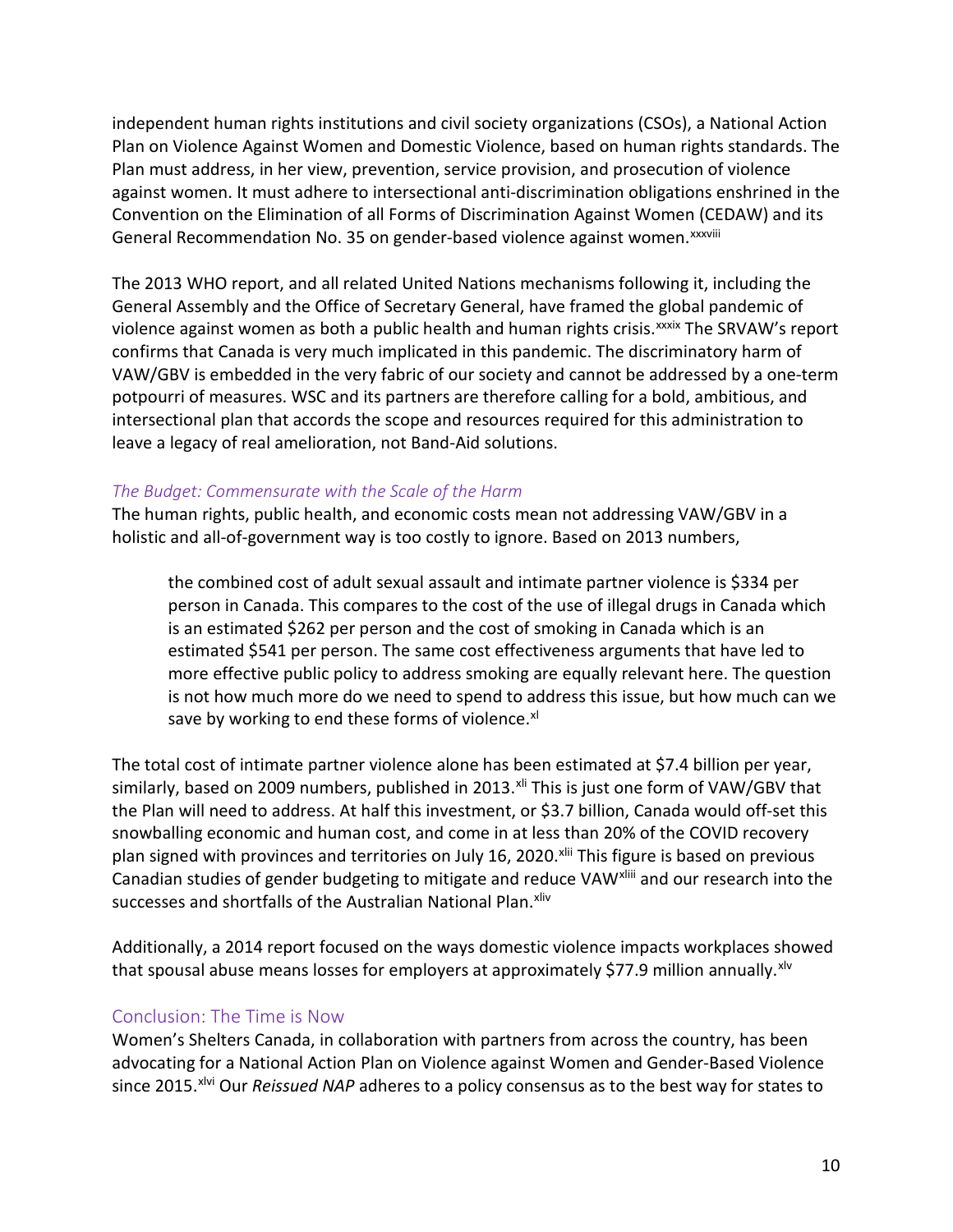independent human rights institutions and civil society organizations (CSOs), a National Action Plan on Violence Against Women and Domestic Violence, based on human rights standards. The Plan must address, in her view, prevention, service provision, and prosecution of violence against women. It must adhere to intersectional anti-discrimination obligations enshrined in the Convention on the Elimination of all Forms of Discrimination Against Women (CEDAW) and its General Recommendation No. 35 on gender-based violence against women. XXXVIII

The 2013 WHO report, and all related United Nations mechanisms following it, including the General Assembly and the Office of Secretary General, have framed the global pandemic of violence against women as both a public health and human rights crisis.<sup>[x](#page-13-1)xxix</sup> The SRVAW's report confirms that Canada is very much implicated in this pandemic. The discriminatory harm of VAW/GBV is embedded in the very fabric of our society and cannot be addressed by a one-term potpourri of measures. WSC and its partners are therefore calling for a bold, ambitious, and intersectional plan that accords the scope and resources required for this administration to leave a legacy of real amelioration, not Band-Aid solutions.

#### *The Budget: Commensurate with the Scale of the Harm*

The human rights, public health, and economic costs mean not addressing VAW/GBV in a holistic and all-of-government way is too costly to ignore. Based on 2013 numbers,

the combined cost of adult sexual assault and intimate partner violence is \$334 per person in Canada. This compares to the cost of the use of illegal drugs in Canada which is an estimated \$262 per person and the cost of smoking in Canada which is an estimated \$541 per person. The same cost effectiveness arguments that have led to more effective public policy to address smoking are equally relevant here. The question is not how much more do we need to spend to address this issue, but how much can we save by working to end these forms of violence.<sup>[xl](#page-13-2)</sup>

The total cost of intimate partner violence alone has been estimated at \$7.4 billion per year, similarly, based on 2009 numbers, published in 2013.<sup>[xli](#page-13-3)</sup> This is just one form of VAW/GBV that Canadian studies of gender budgeting to mitigate and reduce VAW<sup>xliii</sup> and our research into the the Plan will need to address. At half this investment, or \$3.7 billion, Canada would off-set this snowballing economic and human cost, and come in at less than 20% of the COVID recovery plan signed with provinces and territories on July 16, 2020.<sup>[xlii](#page-13-4)</s[u](#page-13-5)p> This figure is based on previous successes and shortfalls of the Australian National Plan.<sup>[xliv](#page-13-6)</sup>

Additionally, a 2014 report focused on the ways domestic violence impacts workplaces showed that spousal abuse means losses for employers at approximately \$77.9 million annually.<sup>[xlv](#page-13-7)</sup>

#### Conclusion: The Time is Now

Women's Shelters Canada, in collaboration with partners from across the country, has been advocating for a National Action Plan on Violence against Women and Gender-Based Violence since 2015.<sup>[xlvi](#page-13-8)</sup> Our *Reissued NAP* adheres to a policy consensus as to the best way for states to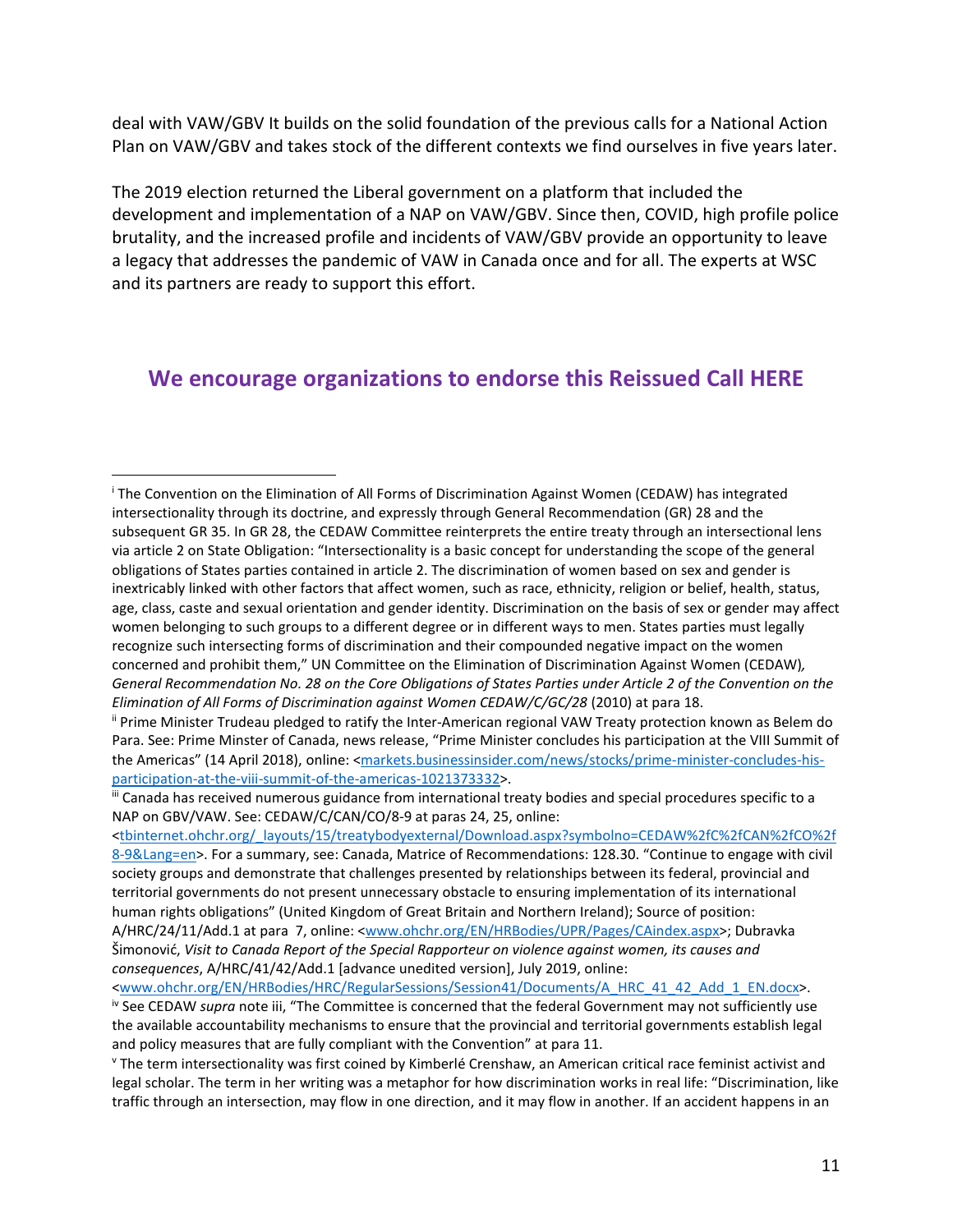deal with VAW/GBV It builds on the solid foundation of the previous calls for a National Action Plan on VAW/GBV and takes stock of the different contexts we find ourselves in five years later.

The 2019 election returned the Liberal government on a platform that included the development and implementation of a NAP on VAW/GBV. Since then, COVID, high profile police brutality, and the increased profile and incidents of VAW/GBV provide an opportunity to leave a legacy that addresses the pandemic of VAW in Canada once and for all. The experts at WSC and its partners are ready to support this effort.

## **[We encourage organizations to endorse this Reissued Call HERE](https://survey.ca1.qualtrics.com/jfe/form/SV_bwuQdpi3GMeQWIB)**

<tbinternet.ohchr.org/ layouts/15/treatybodyexternal/Download.aspx?symbolno=CEDAW%2fC%2fCAN%2fC0%2f [8-9&Lang=en>](https://tbinternet.ohchr.org/_layouts/15/treatybodyexternal/Download.aspx?symbolno=CEDAW%2fC%2fCAN%2fCO%2f8-9&Lang=en). For a summary, see: Canada, Matrice of Recommendations: 128.30. "Continue to engage with civil society groups and demonstrate that challenges presented by relationships between its federal, provincial and territorial governments do not present unnecessary obstacle to ensuring implementation of its international human rights obligations" (United Kingdom of Great Britain and Northern Ireland); Source of position: A/HRC/24/11/Add.1 at para 7, online: [<www.ohchr.org/EN/HRBodies/UPR/Pages/CAindex.aspx>](https://www.ohchr.org/EN/HRBodies/UPR/Pages/CAindex.aspx); Dubravka Šimonović, *Visit to Canada Report of the Special Rapporteur on violence against women, its causes and* 

*consequences*, A/HRC/41/42/Add.1 [advance unedited version], July 2019, online:

 $\overline{a}$ 

<span id="page-10-0"></span><sup>i</sup> The Convention on the Elimination of All Forms of Discrimination Against Women (CEDAW) has integrated intersectionality through its doctrine, and expressly through General Recommendation (GR) 28 and the subsequent GR 35. In GR 28, the CEDAW Committee reinterprets the entire treaty through an intersectional lens via article 2 on State Obligation: "Intersectionality is a basic concept for understanding the scope of the general obligations of States parties contained in article 2. The discrimination of women based on sex and gender is inextricably linked with other factors that affect women, such as race, ethnicity, religion or belief, health, status, age, class, caste and sexual orientation and gender identity. Discrimination on the basis of sex or gender may affect women belonging to such groups to a different degree or in different ways to men. States parties must legally recognize such intersecting forms of discrimination and their compounded negative impact on the women concerned and prohibit them," UN Committee on the Elimination of Discrimination Against Women (CEDAW)*, General Recommendation No. 28 on the Core Obligations of States Parties under Article 2 of the Convention on the Elimination of All Forms of Discrimination against Women CEDAW/C/GC/28* (2010) at para 18.

<span id="page-10-1"></span>ii Prime Minister Trudeau pledged to ratify the Inter-American regional VAW Treaty protection known as Belem do Para. See: Prime Minster of Canada, news release, "Prime Minister concludes his participation at the VIII Summit of the Americas" (14 April 2018), online: [<markets.businessinsider.com/news/stocks/prime-minister-concludes-his](https://markets.businessinsider.com/news/stocks/prime-minister-concludes-his-participation-at-the-viii-summit-of-the-americas-1021373332)[participation-at-the-viii-summit-of-the-americas-1021373332>](https://markets.businessinsider.com/news/stocks/prime-minister-concludes-his-participation-at-the-viii-summit-of-the-americas-1021373332).

<span id="page-10-2"></span>iii Canada has received numerous guidance from international treaty bodies and special procedures specific to a NAP on GBV/VAW. See: CEDAW/C/CAN/CO/8-9 at paras 24, 25, online:

<span id="page-10-3"></span>[<sup>&</sup>lt;www.ohchr.org/EN/HRBodies/HRC/RegularSessions/Session41/Documents/A\\_HRC\\_41\\_42\\_Add\\_1\\_EN.docx>](http://www.ohchr.org/EN/HRBodies/HRC/RegularSessions/Session41/Documents/A_HRC_41_42_Add_1_EN.docx). iv See CEDAW *supra* note iii, "The Committee is concerned that the federal Government may not sufficiently use the available accountability mechanisms to ensure that the provincial and territorial governments establish legal and policy measures that are fully compliant with the Convention" at para 11.

<span id="page-10-4"></span><sup>v</sup> The term intersectionality was first coined by Kimberlé Crenshaw, an American critical race feminist activist and legal scholar. The term in her writing was a metaphor for how discrimination works in real life: "Discrimination, like traffic through an intersection, may flow in one direction, and it may flow in another. If an accident happens in an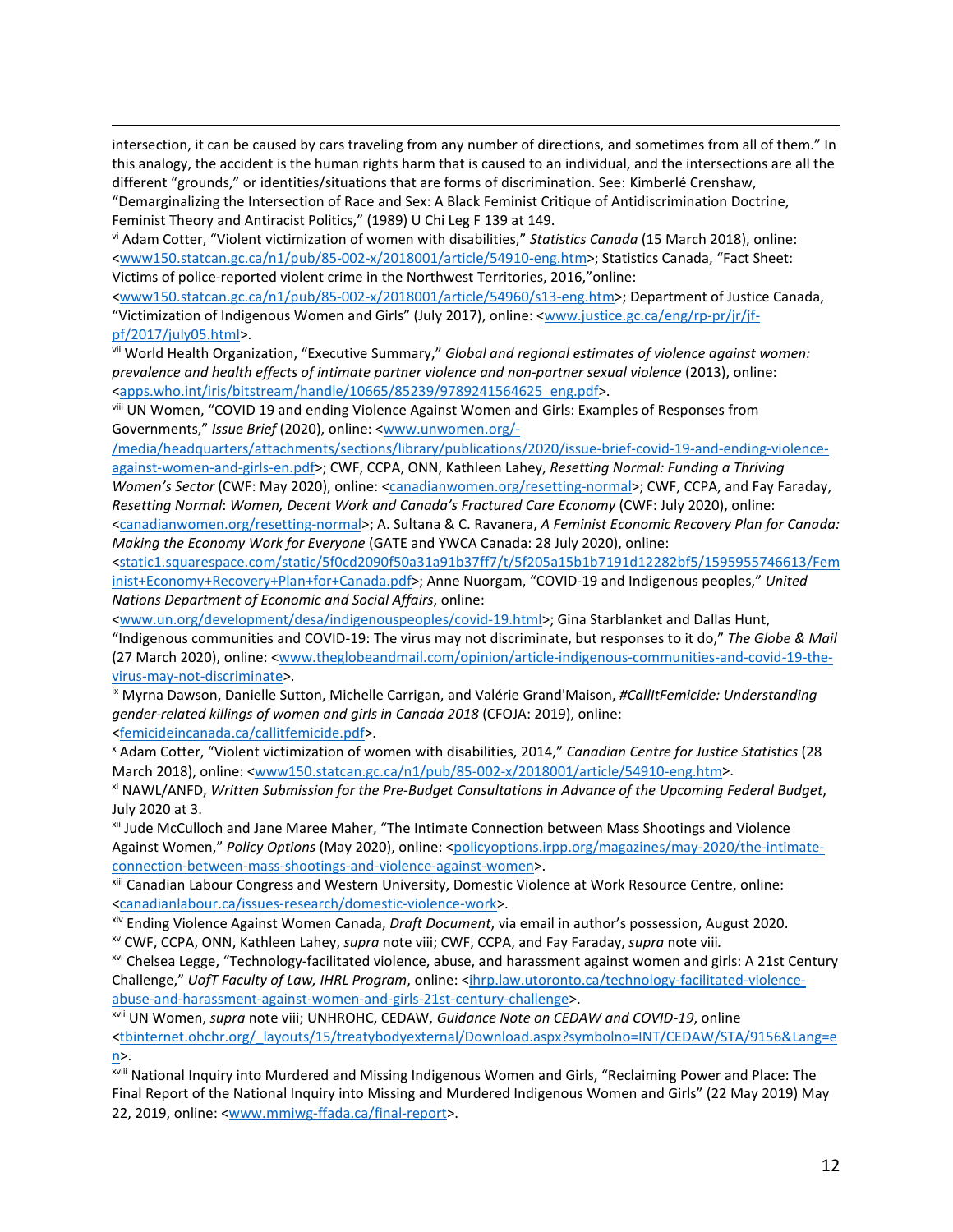intersection, it can be caused by cars traveling from any number of directions, and sometimes from all of them." In this analogy, the accident is the human rights harm that is caused to an individual, and the intersections are all the different "grounds," or identities/situations that are forms of discrimination. See: Kimberlé Crenshaw, "Demarginalizing the Intersection of Race and Sex: A Black Feminist Critique of Antidiscrimination Doctrine,

Feminist Theory and Antiracist Politics," (1989) U Chi Leg F 139 at 149.

 $\overline{a}$ 

<span id="page-11-0"></span>vi Adam Cotter, "Violent victimization of women with disabilities," *Statistics Canada* (15 March 2018), online: [<www150.statcan.gc.ca/n1/pub/85-002-x/2018001/article/54910-eng.htm>](http://www150.statcan.gc.ca/n1/pub/85-002-x/2018001/article/54910-eng.htm); Statistics Canada, "Fact Sheet: Victims of police-reported violent crime in the Northwest Territories, 2016,"online:

[<www150.statcan.gc.ca/n1/pub/85-002-x/2018001/article/54960/s13-eng.htm>](https://www150.statcan.gc.ca/n1/pub/85-002-x/2018001/article/54960/s13-eng.htm); Department of Justice Canada, "Victimization of Indigenous Women and Girls" (July 2017), online: [<www.justice.gc.ca/eng/rp-pr/jr/jf](http://www.justice.gc.ca/eng/rp-pr/jr/jf-pf/2017/july05.html)[pf/2017/july05.html>](http://www.justice.gc.ca/eng/rp-pr/jr/jf-pf/2017/july05.html).

<span id="page-11-1"></span>vii World Health Organization, "Executive Summary," *Global and regional estimates of violence against women: prevalence and health effects of intimate partner violence and non-partner sexual violence* (2013), online: [<apps.who.int/iris/bitstream/handle/10665/85239/9789241564625\\_eng.pdf>](https://apps.who.int/iris/bitstream/handle/10665/85239/9789241564625_eng.pdf).

<span id="page-11-2"></span>viii UN Women, "COVID 19 and ending Violence Against Women and Girls: Examples of Responses from Governments," *Issue Brief* (2020), online: [<www.unwomen.org/-](http://www.unwomen.org/-/media/headquarters/attachments/sections/library/publications/2020/issue-brief-covid-19-and-ending-violence-against-women-and-girls-en.pdf)

[/media/headquarters/attachments/sections/library/publications/2020/issue-brief-covid-19-and-ending-violence](http://www.unwomen.org/-/media/headquarters/attachments/sections/library/publications/2020/issue-brief-covid-19-and-ending-violence-against-women-and-girls-en.pdf)[against-women-and-girls-en.pdf>](http://www.unwomen.org/-/media/headquarters/attachments/sections/library/publications/2020/issue-brief-covid-19-and-ending-violence-against-women-and-girls-en.pdf); CWF, CCPA, ONN, Kathleen Lahey, *Resetting Normal: Funding a Thriving Women's Sector* (CWF: May 2020), online: [<canadianwomen.org/resetting-normal>](https://canadianwomen.org/resetting-normal); CWF, CCPA, and Fay Faraday, *Resetting Normal*: *Women, Decent Work and Canada's Fractured Care Economy* (CWF: July 2020), online: [<canadianwomen.org/resetting-normal>](https://canadianwomen.org/resetting-normal); A. Sultana & C. Ravanera, *A Feminist Economic Recovery Plan for Canada: Making the Economy Work for Everyone* (GATE and YWCA Canada: 28 July 2020), online:

[<static1.squarespace.com/static/5f0cd2090f50a31a91b37ff7/t/5f205a15b1b7191d12282bf5/1595955746613/Fem](https://static1.squarespace.com/static/5f0cd2090f50a31a91b37ff7/t/5f205a15b1b7191d12282bf5/1595955746613/Feminist+Economy+Recovery+Plan+for+Canada.pdf) [inist+Economy+Recovery+Plan+for+Canada.pdf>](https://static1.squarespace.com/static/5f0cd2090f50a31a91b37ff7/t/5f205a15b1b7191d12282bf5/1595955746613/Feminist+Economy+Recovery+Plan+for+Canada.pdf); Anne Nuorgam, "COVID-19 and Indigenous peoples," *United Nations Department of Economic and Social Affairs*, online:

[<www.un.org/development/desa/indigenouspeoples/covid-19.html>](https://www.un.org/development/desa/indigenouspeoples/covid-19.html); Gina Starblanket and Dallas Hunt, "Indigenous communities and COVID-19: The virus may not discriminate, but responses to it do," *The Globe & Mail* (27 March 2020), online: [<www.theglobeandmail.com/opinion/article-indigenous-communities-and-covid-19-the](http://www.theglobeandmail.com/opinion/article-indigenous-communities-and-covid-19-the-virus-may-not-discriminate)[virus-may-not-discriminate>](http://www.theglobeandmail.com/opinion/article-indigenous-communities-and-covid-19-the-virus-may-not-discriminate).<br><sup>ix</sup> Myrna Dawson, Danielle Sutton, Michelle Carrigan, and Valérie Grand'Maison, *#CallItFemicide: Understanding* 

<span id="page-11-3"></span>*gender-related killings of women and girls in Canada 2018* (CFOJA: 2019), online:

<span id="page-11-4"></span>[<femicideincanada.ca/callitfemicide.pdf>](https://femicideincanada.ca/callitfemicide.pdf).<br><sup>x</sup> Adam Cotter, "Violent victimization of women with disabilities, 2014," *Canadian Centre for Justice Statistics* (28 March 2018), online: [<www150.statcan.gc.ca/n1/pub/85-002-x/2018001/article/54910-eng.htm>](https://www150.statcan.gc.ca/n1/pub/85-002-x/2018001/article/54910-eng.htm).

<span id="page-11-5"></span>xi NAWL/ANFD, *Written Submission for the Pre-Budget Consultations in Advance of the Upcoming Federal Budget*, July 2020 at 3.

<span id="page-11-6"></span>xii Jude McCulloch and Jane Maree Maher, "The Intimate Connection between Mass Shootings and Violence Against Women," *Policy Options* (May 2020), online: [<policyoptions.irpp.org/magazines/may-2020/the-intimate](https://policyoptions.irpp.org/magazines/may-2020/the-intimate-connection-between-mass-shootings-and-violence-against-women)[connection-between-mass-shootings-and-violence-against-women>](https://policyoptions.irpp.org/magazines/may-2020/the-intimate-connection-between-mass-shootings-and-violence-against-women).<br><sup>xiii</sup> Canadian Labour Congress and Western University, Domestic Violence at Work Resource Centre, online:

<span id="page-11-7"></span>[<canadianlabour.ca/issues-research/domestic-violence-work>](https://canadianlabour.ca/issues-research/domestic-violence-work). xiv Ending Violence Against Women Canada, *Draft Document*, via email in author's possession, August 2020.

<span id="page-11-9"></span><span id="page-11-8"></span>xv CWF, CCPA, ONN, Kathleen Lahey, *supra* note viii; CWF, CCPA, and Fay Faraday, *supra* note viii*.*

<span id="page-11-10"></span>xvi Chelsea Legge, "Technology-facilitated violence, abuse, and harassment against women and girls: A 21st Century Challenge," *UofT Faculty of Law, IHRL Program*, online: [<ihrp.law.utoronto.ca/technology-facilitated-violence](https://ihrp.law.utoronto.ca/technology-facilitated-violence-abuse-and-harassment-against-women-and-girls-21st-century-challenge)[abuse-and-harassment-against-women-and-girls-21st-century-challenge>](https://ihrp.law.utoronto.ca/technology-facilitated-violence-abuse-and-harassment-against-women-and-girls-21st-century-challenge).

<span id="page-11-11"></span>xvii UN Women, *supra* note viii; UNHROHC, CEDAW, *Guidance Note on CEDAW and COVID-19*, online [<tbinternet.ohchr.org/\\_layouts/15/treatybodyexternal/Download.aspx?symbolno=INT/CEDAW/STA/9156&Lang=e](https://tbinternet.ohchr.org/_layouts/15/treatybodyexternal/Download.aspx?symbolno=INT/CEDAW/STA/9156&Lang=en) [n>](https://tbinternet.ohchr.org/_layouts/15/treatybodyexternal/Download.aspx?symbolno=INT/CEDAW/STA/9156&Lang=en).

<span id="page-11-12"></span>xviii National Inquiry into Murdered and Missing Indigenous Women and Girls, "Reclaiming Power and Place: The Final Report of the National Inquiry into Missing and Murdered Indigenous Women and Girls" (22 May 2019) May 22, 2019, online: [<www.mmiwg-ffada.ca/final-report>](http://www.mmiwg-ffada.ca/final-report).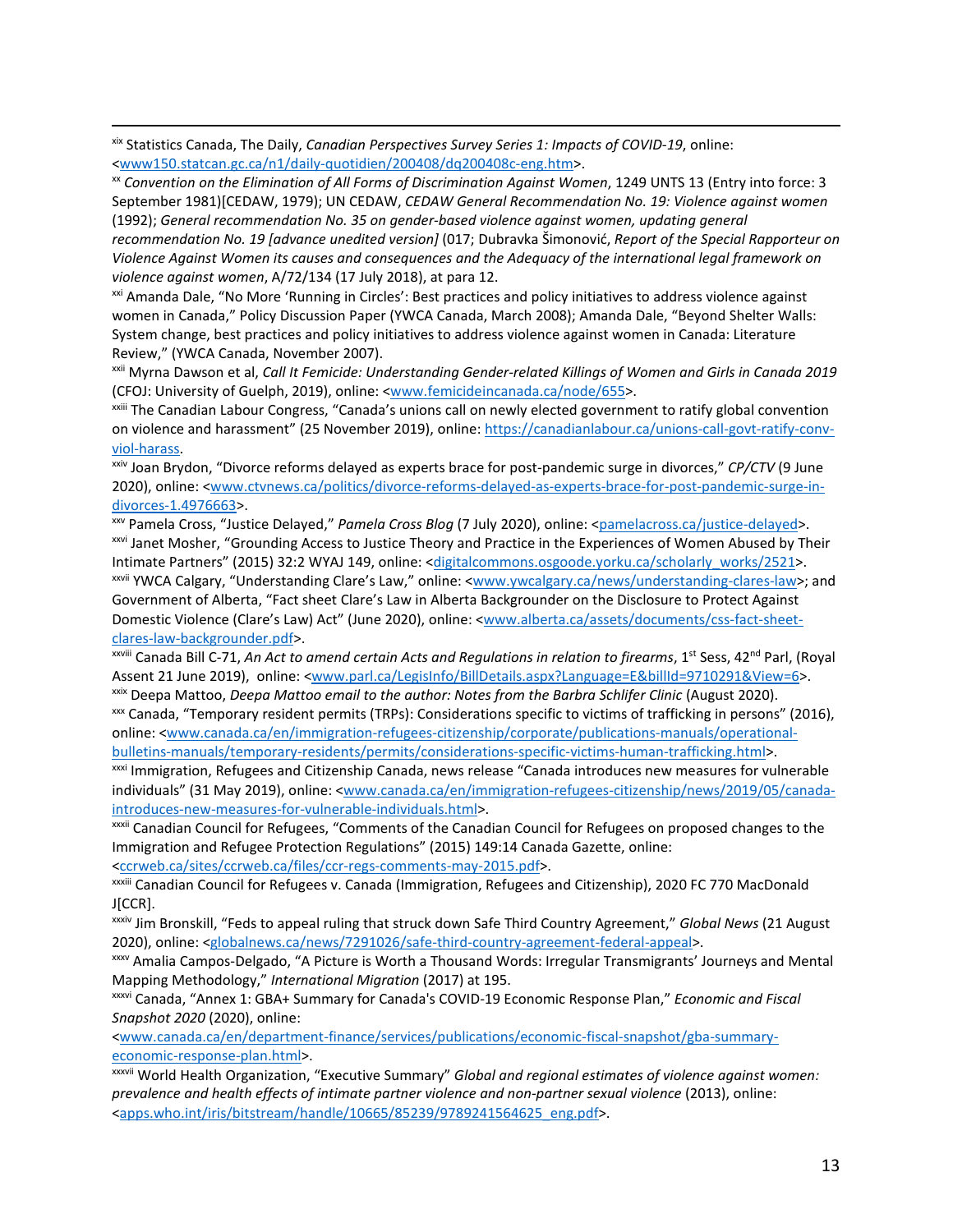<span id="page-12-0"></span> xix Statistics Canada, The Daily, *Canadian Perspectives Survey Series 1: Impacts of COVID-19*, online: [<www150.statcan.gc.ca/n1/daily-quotidien/200408/dq200408c-eng.htm>](https://www150.statcan.gc.ca/n1/daily-quotidien/200408/dq200408c-eng.htm).

<span id="page-12-1"></span>xx *Convention on the Elimination of All Forms of Discrimination Against Women*, 1249 UNTS 13 (Entry into force: 3 September 1981)[CEDAW, 1979); UN CEDAW, *CEDAW General Recommendation No. 19: Violence against women* (1992); *General recommendation No. 35 on gender-based violence against women, updating general* 

*recommendation No. 19 [advance unedited version]* (017; Dubravka Šimonović, *Report of the Special Rapporteur on Violence Against Women its causes and consequences and the Adequacy of the international legal framework on violence against women*, A/72/134 (17 July 2018), at para 12.

<span id="page-12-2"></span><sup>xxi</sup> Amanda Dale, "No More 'Running in Circles': Best practices and policy initiatives to address violence against women in Canada," Policy Discussion Paper (YWCA Canada, March 2008); Amanda Dale, "Beyond Shelter Walls: System change, best practices and policy initiatives to address violence against women in Canada: Literature Review," (YWCA Canada, November 2007).

<span id="page-12-3"></span>xxii Myrna Dawson et al, *Call It Femicide: Understanding Gender-related Killings of Women and Girls in Canada 2019* (CFOJ: University of Guelph, 2019), online: [<www.femicideincanada.ca/node/655>](http://www.femicideincanada.ca/node/655).

<span id="page-12-4"></span>xxiii The Canadian Labour Congress, "Canada's unions call on newly elected government to ratify global convention on violence and harassment" (25 November 2019), online: [https://canadianlabour.ca/unions-call-govt-ratify-conv](https://canadianlabour.ca/unions-call-govt-ratify-conv-viol-harass)[viol-harass.](https://canadianlabour.ca/unions-call-govt-ratify-conv-viol-harass)

<span id="page-12-5"></span>xxiv Joan Brydon, "Divorce reforms delayed as experts brace for post-pandemic surge in divorces," *CP/CTV* (9 June 2020), online: [<www.ctvnews.ca/politics/divorce-reforms-delayed-as-experts-brace-for-post-pandemic-surge-in-](http://www.ctvnews.ca/politics/divorce-reforms-delayed-as-experts-brace-for-post-pandemic-surge-in-divorces-1.4976663)

<span id="page-12-7"></span><span id="page-12-6"></span>[divorces-1.4976663>](http://www.ctvnews.ca/politics/divorce-reforms-delayed-as-experts-brace-for-post-pandemic-surge-in-divorces-1.4976663).<br><sup>xxv</sup> Pamela Cross, "Justice Delayed," *Pamela Cross Blog* (7 July 2020), online: <<u>pamelacross.ca/justice-delayed</u>>.<br><sup>xxvi</sup> Janet Mosher, "Grounding Access to Justice Theory and Practice in the Experi Intimate Partners" (2015) 32:2 WYAJ 149, online: [<digitalcommons.osgoode.yorku.ca/scholarly\\_works/2521>](https://digitalcommons.osgoode.yorku.ca/scholarly_works/2521). xxvii YWCA Calgary, "Understanding Clare's Law," online: [<www.ywcalgary.ca/news/understanding-clares-law>](http://www.ywcalgary.ca/news/understanding-clares-law); and

<span id="page-12-8"></span>Government of Alberta, "Fact sheet Clare's Law in Alberta Backgrounder on the Disclosure to Protect Against Domestic Violence (Clare's Law) Act" (June 2020), online: [<www.alberta.ca/assets/documents/css-fact-sheet](http://www.alberta.ca/assets/documents/css-fact-sheet-clares-law-backgrounder.pdf)[clares-law-backgrounder.pdf>](http://www.alberta.ca/assets/documents/css-fact-sheet-clares-law-backgrounder.pdf).<br><sup>xxviii</sup> Canada Bill C-71, *An Act to amend certain Acts and Regulations in relation to firearms*, 1<sup>st</sup> Sess, 42<sup>nd</sup> Parl, (Royal

<span id="page-12-9"></span>Assent 21 June 2019), online: [<www.parl.ca/LegisInfo/BillDetails.aspx?Language=E&billId=9710291&View=6>](http://www.parl.ca/LegisInfo/BillDetails.aspx?Language=E&billId=9710291&View=6). xxix Deepa Mattoo, *Deepa Mattoo email to the author: Notes from the Barbra Schlifer Clinic* (August 2020).

<span id="page-12-11"></span><span id="page-12-10"></span>xxx Canada, "Temporary resident permits (TRPs): Considerations specific to victims of trafficking in persons" (2016), online: [<www.canada.ca/en/immigration-refugees-citizenship/corporate/publications-manuals/operational](http://www.canada.ca/en/immigration-refugees-citizenship/corporate/publications-manuals/operational-bulletins-manuals/temporary-residents/permits/considerations-specific-victims-human-trafficking.html)[bulletins-manuals/temporary-residents/permits/considerations-specific-victims-human-trafficking.html>](http://www.canada.ca/en/immigration-refugees-citizenship/corporate/publications-manuals/operational-bulletins-manuals/temporary-residents/permits/considerations-specific-victims-human-trafficking.html).

<span id="page-12-12"></span>xxxi Immigration, Refugees and Citizenship Canada, news release "Canada introduces new measures for vulnerable individuals" (31 May 2019), online: [<www.canada.ca/en/immigration-refugees-citizenship/news/2019/05/canada](http://www.canada.ca/en/immigration-refugees-citizenship/news/2019/05/canada-introduces-new-measures-for-vulnerable-individuals.html)[introduces-new-measures-for-vulnerable-individuals.html>](http://www.canada.ca/en/immigration-refugees-citizenship/news/2019/05/canada-introduces-new-measures-for-vulnerable-individuals.html).

<span id="page-12-13"></span>xxxii Canadian Council for Refugees, "Comments of the Canadian Council for Refugees on proposed changes to the Immigration and Refugee Protection Regulations" (2015) 149:14 Canada Gazette, online:

[<ccrweb.ca/sites/ccrweb.ca/files/ccr-regs-comments-may-2015.pdf>](http://ccrweb.ca/sites/ccrweb.ca/files/ccr-regs-comments-may-2015.pdf).

<span id="page-12-14"></span>xxxiii Canadian Council for Refugees v. Canada (Immigration, Refugees and Citizenship), 2020 FC 770 MacDonald J[CCR].

<span id="page-12-15"></span>xxxiv Jim Bronskill, "Feds to appeal ruling that struck down Safe Third Country Agreement," *Global News* (21 August 2020), online: [<globalnews.ca/news/7291026/safe-third-country-agreement-federal-appeal>](https://globalnews.ca/news/7291026/safe-third-country-agreement-federal-appeal/).<br><sup>xxxv</sup> Amalia Campos-Delgado, "A Picture is Worth a Thousand Words: Irregular Transmigrants' Journeys and Mental

<span id="page-12-16"></span>Mapping Methodology," *International Migration* (2017) at 195.

<span id="page-12-17"></span>xxxvi Canada, "Annex 1: GBA+ Summary for Canada's COVID-19 Economic Response Plan," *Economic and Fiscal Snapshot 2020* (2020), online:

[<www.canada.ca/en/department-finance/services/publications/economic-fiscal-snapshot/gba-summary](http://www.canada.ca/en/department-finance/services/publications/economic-fiscal-snapshot/gba-summary-economic-response-plan.html)[economic-response-plan.html>](http://www.canada.ca/en/department-finance/services/publications/economic-fiscal-snapshot/gba-summary-economic-response-plan.html).

<span id="page-12-18"></span>xxxvii World Health Organization, "Executive Summary" *Global and regional estimates of violence against women: prevalence and health effects of intimate partner violence and non-partner sexual violence* (2013), online: [<apps.who.int/iris/bitstream/handle/10665/85239/9789241564625\\_eng.pdf>](https://apps.who.int/iris/bitstream/handle/10665/85239/9789241564625_eng.pdf).